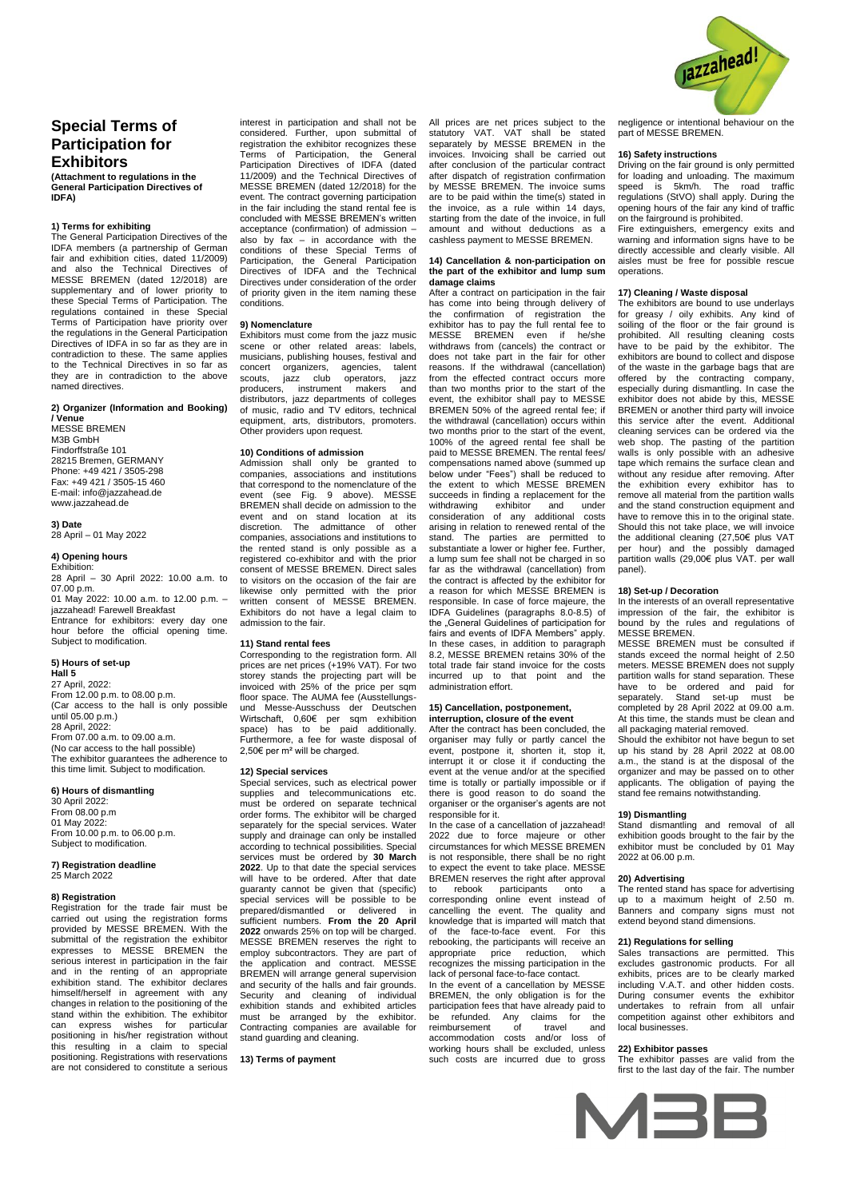

# **Special Terms of Participation for Exhibitors**

**(Attachment to regulations in the General Participation Directives of IDFA)**

# **1) Terms for exhibiting**

The General Participation Directives of the IDFA members (a partnership of German fair and exhibition cities, dated 11/2009) and also the Technical Directives of MESSE BREMEN (dated 12/2018) are supplementary and of lower priority to these Special Terms of Participation. The regulations contained in these Special Terms of Participation have priority over the regulations in the General Participation Directives of IDFA in so far as they are in contradiction to these. The same applies to the Technical Directives in so far as they are in contradiction to the above named directives.

#### **2) Organizer (Information and Booking) / Venue**

MESSE BREMEN M3B GmbH Findorffstraße 101 28215 Bremen, GERMANY Phone: +49 421 / 3505-298 Fax: +49 421 / 3505-15 460 E-mail: info@jazzahead.de www.jazzahead.de

**3) Date** 28 April – 01 May 2022

# **4) Opening hours**

Exhibition:  $28$  April – 30 April 2022: 10.00 a.m. to  $07.00$  p.m. 01 May 2022: 10.00 a.m. to 12.00 p.m. – jazzahead! Farewell Breakfast

Entrance for exhibitors: every day one hour before the official opening time. Subject to modification.

#### **5) Hours of set-up Hall 5**

27 April, 2022: From 12.00 p.m. to 08.00 p.m. (Car access to the hall is only possible until 05.00 p.m.) 28 April, 2022:  $From 07.00 a m to 09.00 a m.$ (No car access to the hall possible) The exhibitor guarantees the adherence to this time limit. Subject to modification.

# **6) Hours of dismantling**

30 April 2022: From 08.00 p.m 01 May 2022 From 10.00 p.m. to 06.00 p.m. Subject to modification.

# **7) Registration deadline** 25 March 2022

**8) Registration**  Registration for the trade fair must be carried out using the registration forms provided by MESSE BREMEN. With the submittal of the registration the exhibitor expresses to MESSE BREMEN the serious interest in participation in the fair and in the renting of an appropriate exhibition stand. The exhibitor declares himself/herself in agreement with any changes in relation to the positioning of the stand within the exhibition. The exhibitor can express wishes for particular positioning in his/her registration without this resulting in a claim to special positioning. Registrations with reservations are not considered to constitute a serious

interest in participation and shall not be considered. Further, upon submittal of registration the exhibitor recognizes these Terms of Participation, the General Participation Directives of IDFA (dated 11/2009) and the Technical Directives of MESSE BREMEN (dated 12/2018) for the event. The contract governing participation in the fair including the stand rental fee is concluded with MESSE BREMEN's written acceptance (confirmation) of admission – also by fax – in accordance with the conditions of these Special Terms of Participation, the General Participation Directives of IDFA and the Technical Directives under consideration of the order of priority given in the item naming these conditions.

#### **9) Nomenclature**

Exhibitors must come from the jazz music scene or other related areas: labels, musicians, publishing houses, festival and concert organizers, agencies, talent scouts, jazz club operators, jazz producers, instrument makers and distributors, jazz departments of colleges of music, radio and TV editors, technical equipment, arts, distributors, promoters. Other providers upon request.

#### **10) Conditions of admission**

Admission shall only be granted to companies, associations and institutions that correspond to the nomenclature of the<br>event (see Fig. 9 above). MESSE  $9$  above). BREMEN shall decide on admission to the event and on stand location at its discretion. The admittance of other companies, associations and institutions to the rented stand is only possible as a registered co-exhibitor and with the prior consent of MESSE BREMEN. Direct sales to visitors on the occasion of the fair are likewise only permitted with the written consent of MESSE BREMEN. Exhibitors do not have a legal claim to admission to the fair.

# **11) Stand rental fees**

Corresponding to the registration form. All prices are net prices (+19% VAT). For two storey stands the projecting part will be invoiced with 25% of the price per sqm floor space. The AUMA fee (Ausstellungsund Messe-Ausschuss der Deutschen Wirtschaft, 0,60€ per sqm exhibition space) has to be paid additionally. Furthermore, a fee for waste disposal of 2,50€ per m² will be charged.

#### **12) Special services**

Special services, such as electrical power supplies and telecommunications etc. must be ordered on separate technical order forms. The exhibitor will be charged separately for the special services. Water supply and drainage can only be installed according to technical possibilities. Special services must be ordered by **30 March 2022**. Up to that date the special services will have to be ordered. After that date guaranty cannot be given that (specific) special services will be possible to be prepared/dismantled or delivered in sufficient numbers. **From the 20 April 2022** onwards 25% on top will be charged. MESSE BREMEN reserves the right to employ subcontractors. They are part of the application and contract. MESSE BREMEN will arrange general supervision and security of the halls and fair grounds. Security and cleaning of individual exhibition stands and exhibited articles must be arranged by the exhibitor Contracting companies are available for stand guarding and cleaning.

**13) Terms of payment**

All prices are net prices subject to the statutory VAT. VAT shall be stated separately by MESSE BREMEN in the invoices. Invoicing shall be carried out after conclusion of the particular contract after dispatch of registration confirmation by MESSE BREMEN. The invoice sums are to be paid within the time(s) stated in the invoice, as a rule within 14 days, starting from the date of the invoice, in full amount and without deductions as a cashless payment to MESSE BREMEN.

#### **14) Cancellation & non-participation on the part of the exhibitor and lump sum damage claims**

After a contract on participation in the fair has come into being through delivery of the confirmation of registration the exhibitor has to pay the full rental fee to MESSE BREMEN even if he/she withdraws from (cancels) the contract or does not take part in the fair for other reasons. If the withdrawal (cancellation) from the effected contract occurs more than two months prior to the start of the event, the exhibitor shall pay to MESSE BREMEN 50% of the agreed rental fee; if the withdrawal (cancellation) occurs within two months prior to the start of the event, 100% of the agreed rental fee shall be paid to MESSE BREMEN. The rental fees/ compensations named above (summed up below under "Fees") shall be reduced to the extent to which MESSE BREMEN succeeds in finding a replacement for the withdrawing exhibitor and under consideration of any additional costs arising in relation to renewed rental of the stand. The parties are permitted to substantiate a lower or higher fee. Further, a lump sum fee shall not be charged in so far as the withdrawal (cancellation) from the contract is affected by the exhibitor for a reason for which MESSE BREMEN is responsible. In case of force majeure, the IDFA Guidelines (paragraphs 8.0-8.5) of the "General Guidelines of participation for<br>fairs and events of IDFA Members" apply. In these cases, in addition to paragraph 8.2, MESSE BREMEN retains 30% of the total trade fair stand invoice for the costs incurred up to that point and the administration effort.

#### **15) Cancellation, postponement, interruption, closure of the event**

After the contract has been concluded, the organiser may fully or partly cancel the event, postpone it, shorten it, stop it, interrupt it or close it if conducting the event at the venue and/or at the specified time is totally or partially impossible or if there is good reason to do soand the organiser or the organiser's agents are not responsible for it.

In the case of a cancellation of jazzahead! 2022 due to force majeure or other circumstances for which MESSE BREMEN is not responsible, there shall be no right to expect the event to take place. MESSE BREMEN reserves the right after approval

to rebook participants onto a corresponding online event instead of cancelling the event. The quality and knowledge that is imparted will match that of the face-to-face event. For this rebooking, the participants will receive an appropriate price reduction, which recognizes the missing participation in the lack of personal face-to-face contact. In the event of a cancellation by MESSE BREMEN, the only obligation is for the participation fees that have already paid to<br>be refunded Any claims for the be refunded. Any claims for the reimbursement of travel and accommodation costs and/or loss of working hours shall be excluded, unless such costs are incurred due to gross negligence or intentional behaviour on the part of MESSE BREMEN.

## **16) Safety instructions**

Driving on the fair ground is only permitted for loading and unloading. The maximum speed is 5km/h. The road traffic regulations (StVO) shall apply. During the opening hours of the fair any kind of traffic on the fairground is prohibited.

Fire extinguishers, emergency exits and warning and information signs have to be directly accessible and clearly visible. All aisles must be free for possible rescue operations.

# **17) Cleaning / Waste disposal**

The exhibitors are bound to use underlays for greasy / oily exhibits. Any kind of soiling of the floor or the fair ground is prohibited. All resulting cleaning costs have to be paid by the exhibitor. The exhibitors are bound to collect and dispose of the waste in the garbage bags that are offered by the contracting company, especially during dismantling. In case the exhibitor does not abide by this, MESSE BREMEN or another third party will invoice this service after the event. Additional cleaning services can be ordered via the web shop. The pasting of the partition walls is only possible with an adhesive tape which remains the surface clean and without any residue after removing. After the exhibition every exhibitor has to remove all material from the partition walls and the stand construction equipment and have to remove this in to the original state. Should this not take place, we will invoice the additional cleaning (27,50€ plus VAT per hour) and the possibly damaged partition walls (29,00€ plus VAT. per wall panel).

## **18) Set-up / Decoration**

In the interests of an overall representative impression of the fair, the exhibitor is bound by the rules and regulations of MESSE BREMEN.

MESSE BREMEN must be consulted if stands exceed the normal height of 2.50 meters. MESSE BREMEN does not supply partition walls for stand separation. These have to be ordered and paid for separately. Stand set-up must be completed by 28 April 2022 at 09.00 a.m. At this time, the stands must be clean and all packaging material removed.

Should the exhibitor not have begun to set up his stand by 28 April 2022 at 08.00 a.m., the stand is at the disposal of the organizer and may be passed on to other applicants. The obligation of paying the stand fee remains notwithstanding.

# **19) Dismantling**

Stand dismantling and removal of all exhibition goods brought to the fair by the exhibitor must be concluded by 01 May 2022 at 06.00 p.m.

#### **20) Advertising**

The rented stand has space for advertising up to a maximum height of 2.50 m. Banners and company signs must not extend beyond stand dimensions.

# **21) Regulations for selling**

Sales transactions are permitted. This excludes gastronomic products. For all exhibits, prices are to be clearly marked including V.A.T. and other hidden costs. During consumer events the exhibitor undertakes to refrain from all unfair competition against other exhibitors and local businesses.

## **22) Exhibitor passes**

The exhibitor passes are valid from the first to the last day of the fair. The number